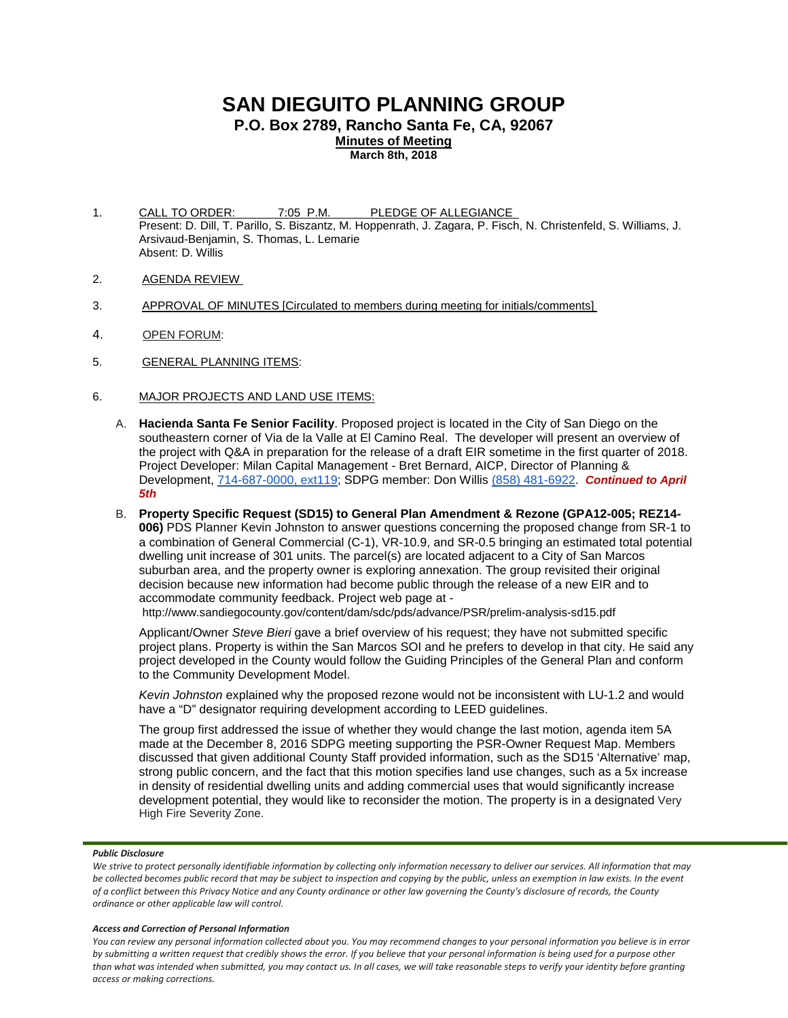# **SAN DIEGUITO PLANNING GROUP**

**P.O. Box 2789, Rancho Santa Fe, CA, 92067**

**Minutes of Meeting March 8th, 2018**

- 1. CALL TO ORDER: 7:05 P.M. PLEDGE OF ALLEGIANCE Present: D. Dill, T. Parillo, S. Biszantz, M. Hoppenrath, J. Zagara, P. Fisch, N. Christenfeld, S. Williams, J. Arsivaud-Benjamin, S. Thomas, L. Lemarie Absent: D. Willis
- 2. AGENDA REVIEW
- 3. APPROVAL OF MINUTES [Circulated to members during meeting for initials/comments]
- 4. OPEN FORUM:
- 5. GENERAL PLANNING ITEMS:
- 6. MAJOR PROJECTS AND LAND USE ITEMS:
	- A. **Hacienda Santa Fe Senior Facility**. Proposed project is located in the City of San Diego on the southeastern corner of Via de la Valle at El Camino Real. The developer will present an overview of the project with Q&A in preparation for the release of a draft EIR sometime in the first quarter of 2018. Project Developer: Milan Capital Management - Bret Bernard, AICP, Director of Planning & Development, [714-687-0000, ext119;](tel:(714)%20687-0000) SDPG member: Don Willis [\(858\) 481-6922.](tel:(858)%20481-6922) *Continued to April 5th*
	- B. **Property Specific Request (SD15) to General Plan Amendment & Rezone (GPA12-005; REZ14- 006)** PDS Planner Kevin Johnston to answer questions concerning the proposed change from SR-1 to a combination of General Commercial (C-1), VR-10.9, and SR-0.5 bringing an estimated total potential dwelling unit increase of 301 units. The parcel(s) are located adjacent to a City of San Marcos suburban area, and the property owner is exploring annexation. The group revisited their original decision because new information had become public through the release of a new EIR and to accommodate community feedback. Project web page at -

<http://www.sandiegocounty.gov/content/dam/sdc/pds/advance/PSR/prelim-analysis-sd15.pdf>

Applicant/Owner *Steve Bieri* gave a brief overview of his request; they have not submitted specific project plans. Property is within the San Marcos SOI and he prefers to develop in that city. He said any project developed in the County would follow the Guiding Principles of the General Plan and conform to the Community Development Model.

*Kevin Johnston* explained why the proposed rezone would not be inconsistent with LU-1.2 and would have a "D" designator requiring development according to LEED guidelines.

The group first addressed the issue of whether they would change the last motion, agenda item 5A made at the December 8, 2016 SDPG meeting supporting the PSR-Owner Request Map. Members discussed that given additional County Staff provided information, such as the SD15 'Alternative' map, strong public concern, and the fact that this motion specifies land use changes, such as a 5x increase in density of residential dwelling units and adding commercial uses that would significantly increase development potential, they would like to reconsider the motion. The property is in a designated Very High Fire Severity Zone.

## *Public Disclosure*

## *Access and Correction of Personal Information*

*We strive to protect personally identifiable information by collecting only information necessary to deliver our services. All information that may be collected becomes public record that may be subject to inspection and copying by the public, unless an exemption in law exists. In the event of a conflict between this Privacy Notice and any County ordinance or other law governing the County's disclosure of records, the County ordinance or other applicable law will control.*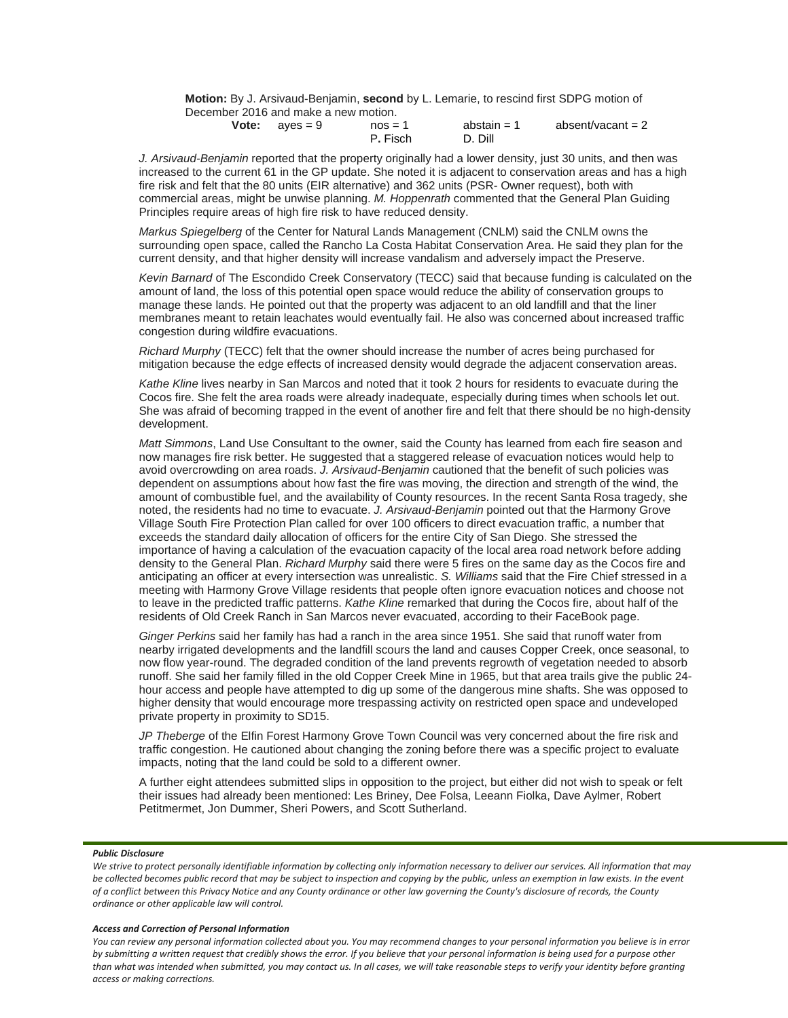**Motion:** By J. Arsivaud-Benjamin, **second** by L. Lemarie, to rescind first SDPG motion of December 2016 and make a new motion.

| Vote: | aves = $9$ | $nos = 1$ | abstain $= 1$ | absent/vacant = $2$ |
|-------|------------|-----------|---------------|---------------------|
|       |            | P. Fisch  | D. Dill       |                     |

*J. Arsivaud-Benjamin* reported that the property originally had a lower density, just 30 units, and then was increased to the current 61 in the GP update. She noted it is adjacent to conservation areas and has a high fire risk and felt that the 80 units (EIR alternative) and 362 units (PSR- Owner request), both with commercial areas, might be unwise planning. *M. Hoppenrath* commented that the General Plan Guiding Principles require areas of high fire risk to have reduced density.

*Markus Spiegelberg* of the Center for Natural Lands Management (CNLM) said the CNLM owns the surrounding open space, called the Rancho La Costa Habitat Conservation Area. He said they plan for the current density, and that higher density will increase vandalism and adversely impact the Preserve.

*Kevin Barnard* of The Escondido Creek Conservatory (TECC) said that because funding is calculated on the amount of land, the loss of this potential open space would reduce the ability of conservation groups to manage these lands. He pointed out that the property was adjacent to an old landfill and that the liner membranes meant to retain leachates would eventually fail. He also was concerned about increased traffic congestion during wildfire evacuations.

*Richard Murphy* (TECC) felt that the owner should increase the number of acres being purchased for mitigation because the edge effects of increased density would degrade the adjacent conservation areas.

*Kathe Kline* lives nearby in San Marcos and noted that it took 2 hours for residents to evacuate during the Cocos fire. She felt the area roads were already inadequate, especially during times when schools let out. She was afraid of becoming trapped in the event of another fire and felt that there should be no high-density development.

*Matt Simmons*, Land Use Consultant to the owner, said the County has learned from each fire season and now manages fire risk better. He suggested that a staggered release of evacuation notices would help to avoid overcrowding on area roads. *J. Arsivaud-Benjamin* cautioned that the benefit of such policies was dependent on assumptions about how fast the fire was moving, the direction and strength of the wind, the amount of combustible fuel, and the availability of County resources. In the recent Santa Rosa tragedy, she noted, the residents had no time to evacuate. *J. Arsivaud-Benjamin* pointed out that the Harmony Grove Village South Fire Protection Plan called for over 100 officers to direct evacuation traffic, a number that exceeds the standard daily allocation of officers for the entire City of San Diego. She stressed the importance of having a calculation of the evacuation capacity of the local area road network before adding density to the General Plan. *Richard Murphy* said there were 5 fires on the same day as the Cocos fire and anticipating an officer at every intersection was unrealistic. *S. Williams* said that the Fire Chief stressed in a meeting with Harmony Grove Village residents that people often ignore evacuation notices and choose not to leave in the predicted traffic patterns. *Kathe Kline* remarked that during the Cocos fire, about half of the residents of Old Creek Ranch in San Marcos never evacuated, according to their FaceBook page.

*Ginger Perkins* said her family has had a ranch in the area since 1951. She said that runoff water from nearby irrigated developments and the landfill scours the land and causes Copper Creek, once seasonal, to now flow year-round. The degraded condition of the land prevents regrowth of vegetation needed to absorb runoff. She said her family filled in the old Copper Creek Mine in 1965, but that area trails give the public 24 hour access and people have attempted to dig up some of the dangerous mine shafts. She was opposed to higher density that would encourage more trespassing activity on restricted open space and undeveloped private property in proximity to SD15.

*JP Theberge* of the Elfin Forest Harmony Grove Town Council was very concerned about the fire risk and traffic congestion. He cautioned about changing the zoning before there was a specific project to evaluate impacts, noting that the land could be sold to a different owner.

A further eight attendees submitted slips in opposition to the project, but either did not wish to speak or felt their issues had already been mentioned: Les Briney, Dee Folsa, Leeann Fiolka, Dave Aylmer, Robert Petitmermet, Jon Dummer, Sheri Powers, and Scott Sutherland.

## *Public Disclosure*

We strive to protect personally identifiable information by collecting only information necessary to deliver our services. All information that may *be collected becomes public record that may be subject to inspection and copying by the public, unless an exemption in law exists. In the event of a conflict between this Privacy Notice and any County ordinance or other law governing the County's disclosure of records, the County ordinance or other applicable law will control.*

## *Access and Correction of Personal Information*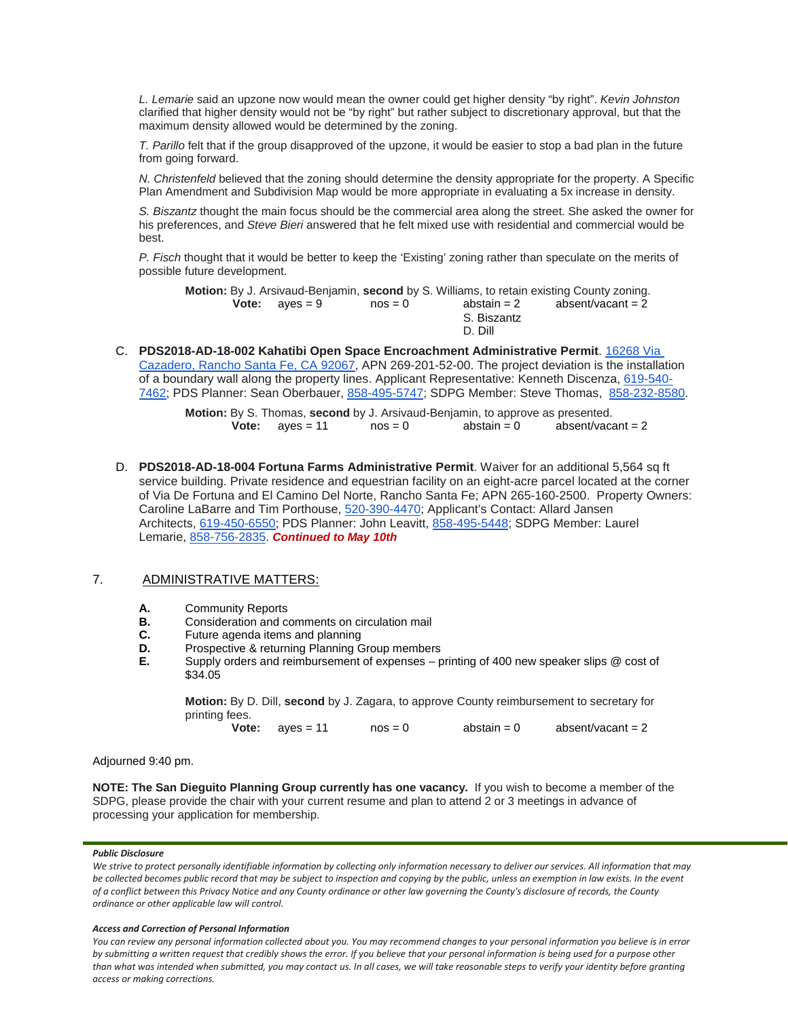*L. Lemarie* said an upzone now would mean the owner could get higher density "by right". *Kevin Johnston* clarified that higher density would not be "by right" but rather subject to discretionary approval, but that the maximum density allowed would be determined by the zoning.

*T. Parillo* felt that if the group disapproved of the upzone, it would be easier to stop a bad plan in the future from going forward.

*N. Christenfeld* believed that the zoning should determine the density appropriate for the property. A Specific Plan Amendment and Subdivision Map would be more appropriate in evaluating a 5x increase in density.

*S. Biszantz* thought the main focus should be the commercial area along the street. She asked the owner for his preferences, and *Steve Bieri* answered that he felt mixed use with residential and commercial would be best.

*P. Fisch* thought that it would be better to keep the 'Existing' zoning rather than speculate on the merits of possible future development.

**Motion:** By J. Arsivaud-Benjamin, **second** by S. Williams, to retain existing County zoning. **Vote:**  $\alpha$ yes = 9  $\alpha$  nos = 0  $\alpha$  abstain = 2  $\alpha$  absent/vacant = 2 S. Biszantz D. Dill

C. **PDS2018-AD-18-002 Kahatibi Open Space Encroachment Administrative Permit**. [16268 Via](https://maps.google.com/?q=16268+Via+Cazadero,+Rancho+Santa+Fe,+CA+92067&entry=gmail&source=g)  [Cazadero, Rancho Santa Fe, CA 92067,](https://maps.google.com/?q=16268+Via+Cazadero,+Rancho+Santa+Fe,+CA+92067&entry=gmail&source=g) APN 269-201-52-00. The project deviation is the installation of a boundary wall along the property lines. Applicant Representative: Kenneth Discenza, [619-540-](tel:(619)%20540-7462) [7462;](tel:(619)%20540-7462) PDS Planner: Sean Oberbauer, [858-495-5747;](tel:(858)%20495-5747) SDPG Member: Steve Thomas, [858-232-8580.](tel:(858)%20232-8580)

|                           |           | Motion: By S. Thomas, second by J. Arsivaud-Benjamin, to approve as presented. |                   |
|---------------------------|-----------|--------------------------------------------------------------------------------|-------------------|
| <b>Vote:</b> $a$ yes = 11 | $nos = 0$ | $abstain = 0$                                                                  | absent/vacant = 2 |

D. **PDS2018-AD-18-004 Fortuna Farms Administrative Permit**. Waiver for an additional 5,564 sq ft service building. Private residence and equestrian facility on an eight-acre parcel located at the corner of Via De Fortuna and El Camino Del Norte, Rancho Santa Fe; APN 265-160-2500. Property Owners: Caroline LaBarre and Tim Porthouse, [520-390-4470;](tel:(520)%20390-4470) Applicant's Contact: Allard Jansen Architects, [619-450-6550;](tel:(619)%20450-6550) PDS Planner: John Leavitt, [858-495-5448;](tel:(858)%20495-5448) SDPG Member: Laurel Lemarie, [858-756-2835.](tel:(858)%20756-2835) *Continued to May 10th* 

# 7. ADMINISTRATIVE MATTERS:

- **A.** Community Reports<br>**B.** Consideration and com-
- **B.** Consideration and comments on circulation mail<br>**C.** Future agenda items and planning
- **C.** Future agenda items and planning<br>**D.** Prospective & returning Planning G.
- **D.** Prospective & returning Planning Group members<br>**E.** Supply orders and reimbursement of expenses p.
- **E.** Supply orders and reimbursement of expenses printing of 400 new speaker slips @ cost of \$34.05

**Motion:** By D. Dill, **second** by J. Zagara, to approve County reimbursement to secretary for printing fees.<br>Vote:

 $aves = 11$   $nos = 0$   $abstain = 0$   $absent/vacant = 2$ 

Adjourned 9:40 pm.

**NOTE: The San Dieguito Planning Group currently has one vacancy.** If you wish to become a member of the SDPG, please provide the chair with your current resume and plan to attend 2 or 3 meetings in advance of processing your application for membership.

## *Public Disclosure*

*We strive to protect personally identifiable information by collecting only information necessary to deliver our services. All information that may be collected becomes public record that may be subject to inspection and copying by the public, unless an exemption in law exists. In the event of a conflict between this Privacy Notice and any County ordinance or other law governing the County's disclosure of records, the County ordinance or other applicable law will control.*

## *Access and Correction of Personal Information*